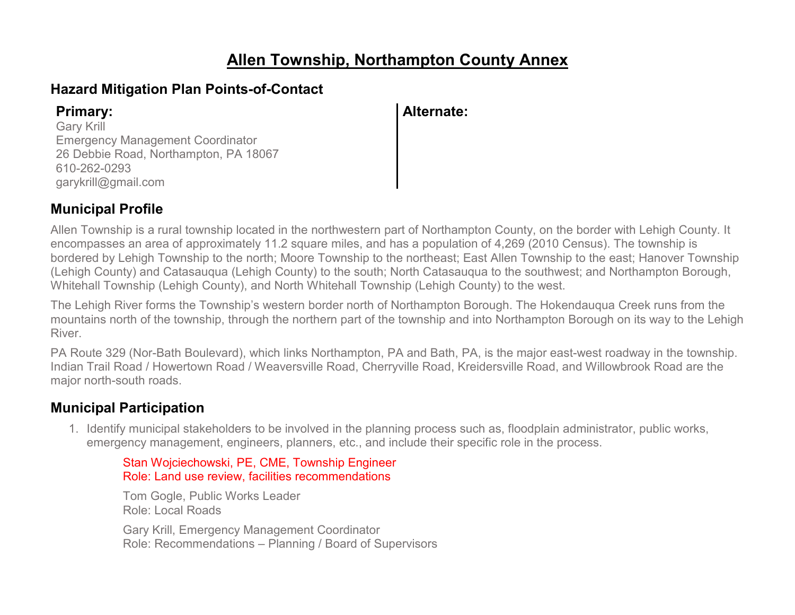# **Allen Township, Northampton County Annex**

### **Hazard Mitigation Plan Points-of-Contact**

Gary Krill Emergency Management Coordinator 26 Debbie Road, Northampton, PA 18067 610-262-0293 garykrill@gmail.com

### **Primary: Alternate:**

### **Municipal Profile**

Allen Township is a rural township located in the northwestern part of Northampton County, on the border with Lehigh County. It encompasses an area of approximately 11.2 square miles, and has a population of 4,269 (2010 Census). The township is bordered by Lehigh Township to the north; Moore Township to the northeast; East Allen Township to the east; Hanover Township (Lehigh County) and Catasauqua (Lehigh County) to the south; North Catasauqua to the southwest; and Northampton Borough, Whitehall Township (Lehigh County), and North Whitehall Township (Lehigh County) to the west.

The Lehigh River forms the Township's western border north of Northampton Borough. The Hokendauqua Creek runs from the mountains north of the township, through the northern part of the township and into Northampton Borough on its way to the Lehigh River.

PA Route 329 (Nor-Bath Boulevard), which links Northampton, PA and Bath, PA, is the major east-west roadway in the township. Indian Trail Road / Howertown Road / Weaversville Road, Cherryville Road, Kreidersville Road, and Willowbrook Road are the major north-south roads.

### **Municipal Participation**

1. Identify municipal stakeholders to be involved in the planning process such as, floodplain administrator, public works, emergency management, engineers, planners, etc., and include their specific role in the process.

#### Stan Wojciechowski, PE, CME, Township Engineer Role: Land use review, facilities recommendations

Tom Gogle, Public Works Leader Role: Local Roads Gary Krill, Emergency Management Coordinator

Role: Recommendations – Planning / Board of Supervisors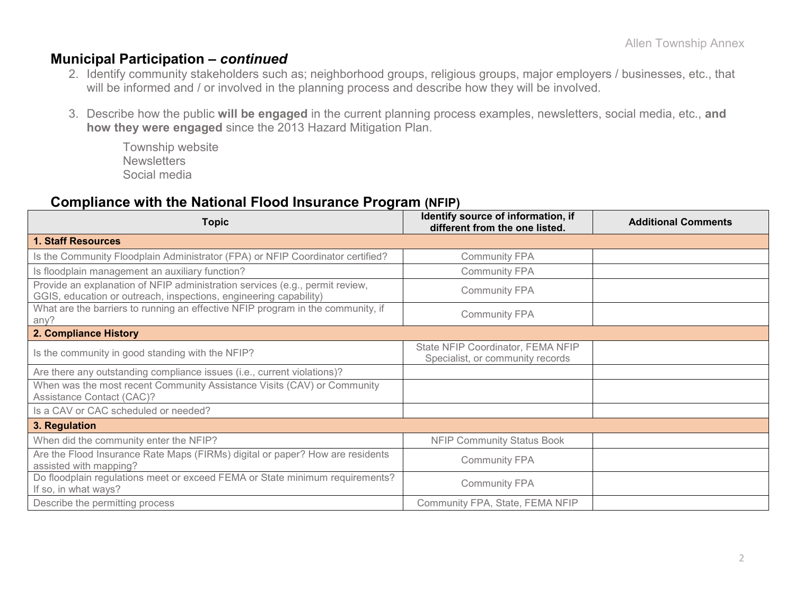### **Municipal Participation –** *continued*

- 2. Identify community stakeholders such as; neighborhood groups, religious groups, major employers / businesses, etc., that will be informed and / or involved in the planning process and describe how they will be involved.
- 3. Describe how the public **will be engaged** in the current planning process examples, newsletters, social media, etc., **and how they were engaged** since the 2013 Hazard Mitigation Plan.

Township website **Newsletters** Social media

#### **Compliance with the National Flood Insurance Program (NFIP)**

| <b>Topic</b>                                                                                                                                      | Identify source of information, if<br>different from the one listed.  | <b>Additional Comments</b> |
|---------------------------------------------------------------------------------------------------------------------------------------------------|-----------------------------------------------------------------------|----------------------------|
| <b>1. Staff Resources</b>                                                                                                                         |                                                                       |                            |
| Is the Community Floodplain Administrator (FPA) or NFIP Coordinator certified?                                                                    | <b>Community FPA</b>                                                  |                            |
| Is floodplain management an auxiliary function?                                                                                                   | <b>Community FPA</b>                                                  |                            |
| Provide an explanation of NFIP administration services (e.g., permit review,<br>GGIS, education or outreach, inspections, engineering capability) | <b>Community FPA</b>                                                  |                            |
| What are the barriers to running an effective NFIP program in the community, if<br>any?                                                           | <b>Community FPA</b>                                                  |                            |
| 2. Compliance History                                                                                                                             |                                                                       |                            |
| Is the community in good standing with the NFIP?                                                                                                  | State NFIP Coordinator, FEMA NFIP<br>Specialist, or community records |                            |
| Are there any outstanding compliance issues (i.e., current violations)?                                                                           |                                                                       |                            |
| When was the most recent Community Assistance Visits (CAV) or Community<br>Assistance Contact (CAC)?                                              |                                                                       |                            |
| Is a CAV or CAC scheduled or needed?                                                                                                              |                                                                       |                            |
| 3. Regulation                                                                                                                                     |                                                                       |                            |
| When did the community enter the NFIP?                                                                                                            | <b>NFIP Community Status Book</b>                                     |                            |
| Are the Flood Insurance Rate Maps (FIRMs) digital or paper? How are residents<br>assisted with mapping?                                           | <b>Community FPA</b>                                                  |                            |
| Do floodplain regulations meet or exceed FEMA or State minimum requirements?<br>If so, in what ways?                                              | <b>Community FPA</b>                                                  |                            |
| Describe the permitting process                                                                                                                   | Community FPA, State, FEMA NFIP                                       |                            |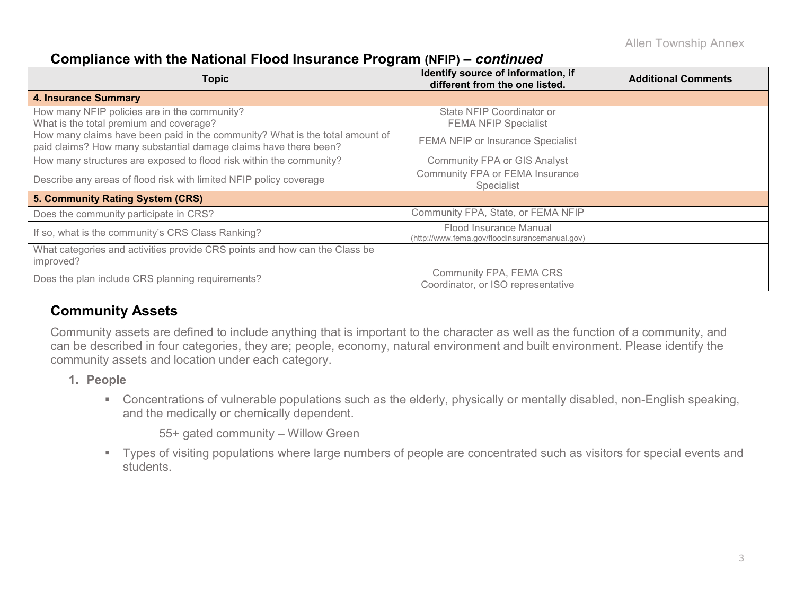### **Compliance with the National Flood Insurance Program (NFIP) –** *continued*

| <b>Topic</b>                                                                                                                                     | Identify source of information, if<br>different from the one listed.     | <b>Additional Comments</b> |
|--------------------------------------------------------------------------------------------------------------------------------------------------|--------------------------------------------------------------------------|----------------------------|
| <b>4. Insurance Summary</b>                                                                                                                      |                                                                          |                            |
| How many NFIP policies are in the community?<br>What is the total premium and coverage?                                                          | State NFIP Coordinator or<br><b>FEMA NFIP Specialist</b>                 |                            |
| How many claims have been paid in the community? What is the total amount of<br>paid claims? How many substantial damage claims have there been? | FEMA NFIP or Insurance Specialist                                        |                            |
| How many structures are exposed to flood risk within the community?                                                                              | <b>Community FPA or GIS Analyst</b>                                      |                            |
| Describe any areas of flood risk with limited NFIP policy coverage                                                                               | Community FPA or FEMA Insurance<br><b>Specialist</b>                     |                            |
| 5. Community Rating System (CRS)                                                                                                                 |                                                                          |                            |
| Does the community participate in CRS?                                                                                                           | Community FPA, State, or FEMA NFIP                                       |                            |
| If so, what is the community's CRS Class Ranking?                                                                                                | Flood Insurance Manual<br>(http://www.fema.gov/floodinsurancemanual.gov) |                            |
| What categories and activities provide CRS points and how can the Class be<br>improved?                                                          |                                                                          |                            |
| Does the plan include CRS planning requirements?                                                                                                 | Community FPA, FEMA CRS<br>Coordinator, or ISO representative            |                            |

### **Community Assets**

Community assets are defined to include anything that is important to the character as well as the function of a community, and can be described in four categories, they are; people, economy, natural environment and built environment. Please identify the community assets and location under each category.

- **1. People**
	- Concentrations of vulnerable populations such as the elderly, physically or mentally disabled, non-English speaking, and the medically or chemically dependent.

55+ gated community – Willow Green

 Types of visiting populations where large numbers of people are concentrated such as visitors for special events and students.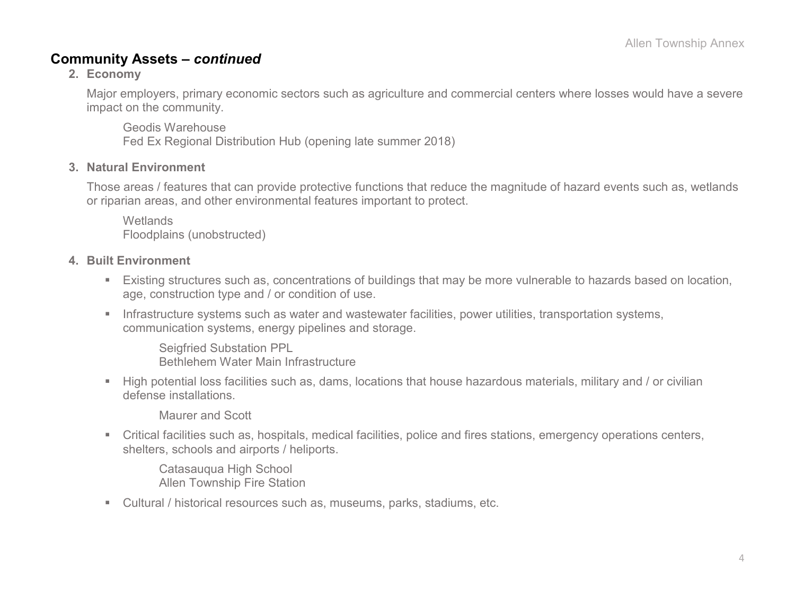### **Community Assets –** *continued*

#### **2. Economy**

Major employers, primary economic sectors such as agriculture and commercial centers where losses would have a severe impact on the community.

Geodis Warehouse Fed Ex Regional Distribution Hub (opening late summer 2018)

#### **3. Natural Environment**

Those areas / features that can provide protective functions that reduce the magnitude of hazard events such as, wetlands or riparian areas, and other environmental features important to protect.

**Wetlands** Floodplains (unobstructed)

#### **4. Built Environment**

- Existing structures such as, concentrations of buildings that may be more vulnerable to hazards based on location, age, construction type and / or condition of use.
- **Infrastructure systems such as water and wastewater facilities, power utilities, transportation systems,** communication systems, energy pipelines and storage.

Seigfried Substation PPL Bethlehem Water Main Infrastructure

 High potential loss facilities such as, dams, locations that house hazardous materials, military and / or civilian defense installations.

Maurer and Scott

 Critical facilities such as, hospitals, medical facilities, police and fires stations, emergency operations centers, shelters, schools and airports / heliports.

Catasauqua High School Allen Township Fire Station

Cultural / historical resources such as, museums, parks, stadiums, etc.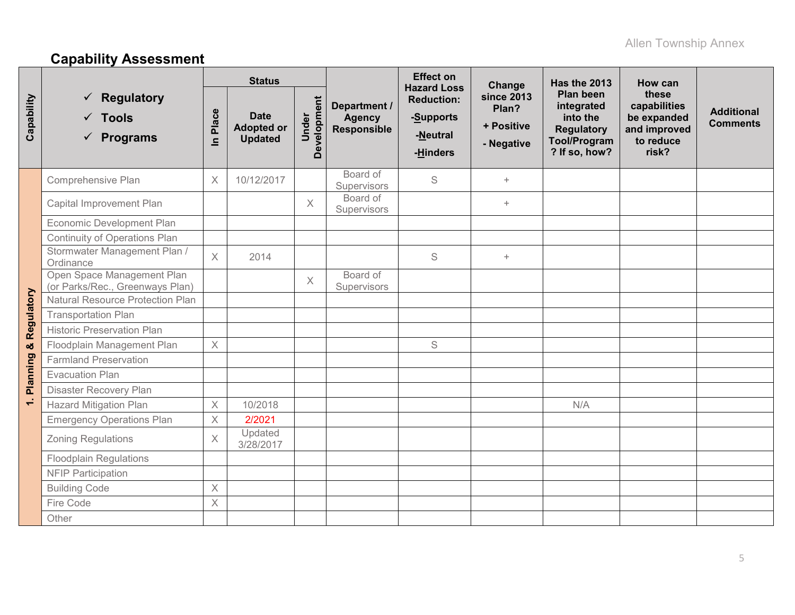# **Capability Assessment**

|            |                                                                  |                                  | <b>Status</b>                                      |                      |                                                     | <b>Effect on</b><br><b>Hazard Loss</b>                 | Change                                                 | Has the 2013                                                                                            | How can                                                                    |                                      |
|------------|------------------------------------------------------------------|----------------------------------|----------------------------------------------------|----------------------|-----------------------------------------------------|--------------------------------------------------------|--------------------------------------------------------|---------------------------------------------------------------------------------------------------------|----------------------------------------------------------------------------|--------------------------------------|
| Capability | <b>Regulatory</b><br>$\checkmark$ Tools<br>$\checkmark$ Programs | Place<br>$\overline{\mathbf{z}}$ | <b>Date</b><br><b>Adopted or</b><br><b>Updated</b> | Development<br>Under | Department /<br><b>Agency</b><br><b>Responsible</b> | <b>Reduction:</b><br>-Supports<br>-Neutral<br>-Hinders | <b>since 2013</b><br>Plan?<br>+ Positive<br>- Negative | <b>Plan been</b><br>integrated<br>into the<br><b>Regulatory</b><br><b>Tool/Program</b><br>? If so, how? | these<br>capabilities<br>be expanded<br>and improved<br>to reduce<br>risk? | <b>Additional</b><br><b>Comments</b> |
|            | Comprehensive Plan                                               | X                                | 10/12/2017                                         |                      | Board of<br>Supervisors                             | S                                                      | $\begin{array}{c} + \end{array}$                       |                                                                                                         |                                                                            |                                      |
|            | Capital Improvement Plan                                         |                                  |                                                    | $\times$             | Board of<br>Supervisors                             |                                                        | $\begin{array}{c} + \end{array}$                       |                                                                                                         |                                                                            |                                      |
|            | <b>Economic Development Plan</b>                                 |                                  |                                                    |                      |                                                     |                                                        |                                                        |                                                                                                         |                                                                            |                                      |
|            | Continuity of Operations Plan                                    |                                  |                                                    |                      |                                                     |                                                        |                                                        |                                                                                                         |                                                                            |                                      |
| Regulatory | Stormwater Management Plan /<br>Ordinance                        | $\times$                         | 2014                                               |                      |                                                     | S                                                      | $\ddot{}$                                              |                                                                                                         |                                                                            |                                      |
|            | Open Space Management Plan<br>(or Parks/Rec., Greenways Plan)    |                                  |                                                    | $\times$             | Board of<br>Supervisors                             |                                                        |                                                        |                                                                                                         |                                                                            |                                      |
|            | Natural Resource Protection Plan                                 |                                  |                                                    |                      |                                                     |                                                        |                                                        |                                                                                                         |                                                                            |                                      |
|            | <b>Transportation Plan</b>                                       |                                  |                                                    |                      |                                                     |                                                        |                                                        |                                                                                                         |                                                                            |                                      |
|            | <b>Historic Preservation Plan</b>                                |                                  |                                                    |                      |                                                     |                                                        |                                                        |                                                                                                         |                                                                            |                                      |
|            | Floodplain Management Plan                                       | $\times$                         |                                                    |                      |                                                     | S                                                      |                                                        |                                                                                                         |                                                                            |                                      |
| Planning & | <b>Farmland Preservation</b>                                     |                                  |                                                    |                      |                                                     |                                                        |                                                        |                                                                                                         |                                                                            |                                      |
|            | <b>Evacuation Plan</b>                                           |                                  |                                                    |                      |                                                     |                                                        |                                                        |                                                                                                         |                                                                            |                                      |
|            | <b>Disaster Recovery Plan</b>                                    |                                  |                                                    |                      |                                                     |                                                        |                                                        |                                                                                                         |                                                                            |                                      |
| $\div$     | <b>Hazard Mitigation Plan</b>                                    | $\times$                         | 10/2018                                            |                      |                                                     |                                                        |                                                        | N/A                                                                                                     |                                                                            |                                      |
|            | <b>Emergency Operations Plan</b>                                 | $\times$                         | 2/2021                                             |                      |                                                     |                                                        |                                                        |                                                                                                         |                                                                            |                                      |
|            | <b>Zoning Regulations</b>                                        | $\times$                         | Updated<br>3/28/2017                               |                      |                                                     |                                                        |                                                        |                                                                                                         |                                                                            |                                      |
|            | <b>Floodplain Regulations</b>                                    |                                  |                                                    |                      |                                                     |                                                        |                                                        |                                                                                                         |                                                                            |                                      |
|            | <b>NFIP Participation</b>                                        |                                  |                                                    |                      |                                                     |                                                        |                                                        |                                                                                                         |                                                                            |                                      |
|            | <b>Building Code</b>                                             | $\times$                         |                                                    |                      |                                                     |                                                        |                                                        |                                                                                                         |                                                                            |                                      |
|            | Fire Code                                                        | $\times$                         |                                                    |                      |                                                     |                                                        |                                                        |                                                                                                         |                                                                            |                                      |
|            | Other                                                            |                                  |                                                    |                      |                                                     |                                                        |                                                        |                                                                                                         |                                                                            |                                      |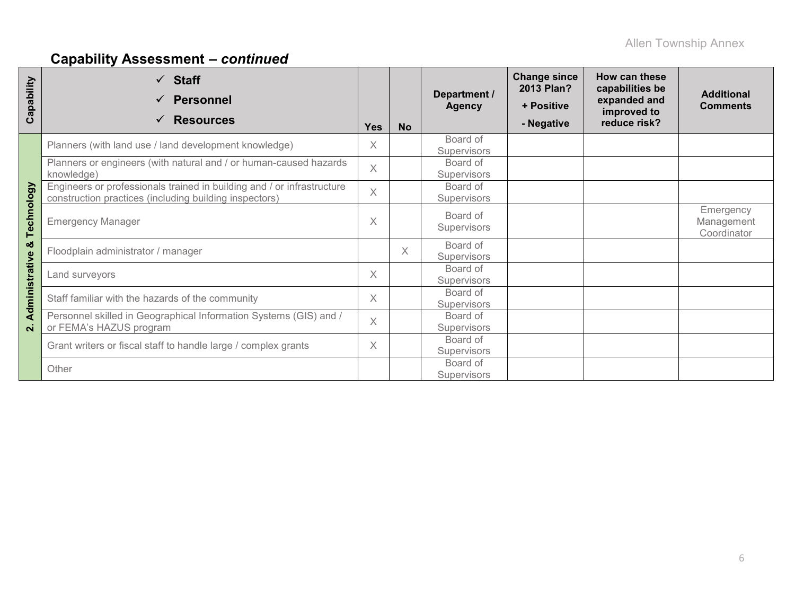# **Capability Assessment –** *continued*

| apability<br>ပ     | <b>Staff</b><br>$\checkmark$<br><b>Personnel</b><br><b>Resources</b><br>$\checkmark$                                             | <b>Yes</b> | <b>No</b> | Department /<br><b>Agency</b>  | <b>Change since</b><br>2013 Plan?<br>+ Positive<br>- Negative | How can these<br>capabilities be<br>expanded and<br>improved to<br>reduce risk? | <b>Additional</b><br><b>Comments</b>   |
|--------------------|----------------------------------------------------------------------------------------------------------------------------------|------------|-----------|--------------------------------|---------------------------------------------------------------|---------------------------------------------------------------------------------|----------------------------------------|
|                    | Planners (with land use / land development knowledge)                                                                            | X          |           | Board of<br><b>Supervisors</b> |                                                               |                                                                                 |                                        |
|                    | Planners or engineers (with natural and / or human-caused hazards<br>knowledge)                                                  | $\times$   |           | Board of<br>Supervisors        |                                                               |                                                                                 |                                        |
|                    | Engineers or professionals trained in building and / or infrastructure<br>construction practices (including building inspectors) |            |           | Board of<br>Supervisors        |                                                               |                                                                                 |                                        |
| Technology         | <b>Emergency Manager</b>                                                                                                         |            |           | Board of<br>Supervisors        |                                                               |                                                                                 | Emergency<br>Management<br>Coordinator |
| ఱ                  | Floodplain administrator / manager                                                                                               |            | Χ         | Board of<br><b>Supervisors</b> |                                                               |                                                                                 |                                        |
|                    | Land surveyors                                                                                                                   |            |           | Board of<br><b>Supervisors</b> |                                                               |                                                                                 |                                        |
| Administrative     | Staff familiar with the hazards of the community                                                                                 |            |           | Board of<br><b>Supervisors</b> |                                                               |                                                                                 |                                        |
| $\dot{\mathbf{v}}$ | Personnel skilled in Geographical Information Systems (GIS) and /<br>or FEMA's HAZUS program                                     | $\times$   |           | Board of<br>Supervisors        |                                                               |                                                                                 |                                        |
|                    | Grant writers or fiscal staff to handle large / complex grants                                                                   | X          |           | Board of<br>Supervisors        |                                                               |                                                                                 |                                        |
|                    | Other                                                                                                                            |            |           | Board of<br><b>Supervisors</b> |                                                               |                                                                                 |                                        |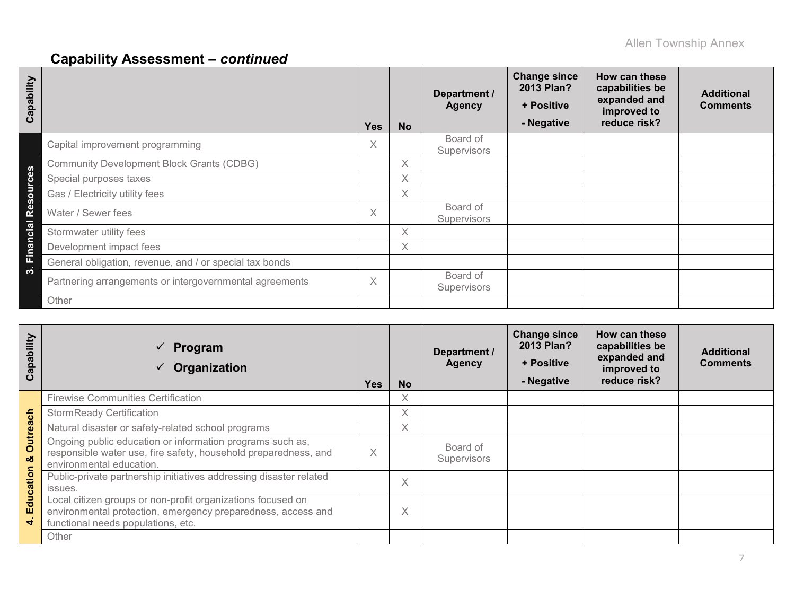# **Capability Assessment –** *continued*

| Capability     |                                                         | <b>Yes</b> | <b>No</b> | Department /<br><b>Agency</b>  | <b>Change since</b><br>2013 Plan?<br>+ Positive<br>- Negative | How can these<br>capabilities be<br>expanded and<br>improved to<br>reduce risk? | <b>Additional</b><br><b>Comments</b> |
|----------------|---------------------------------------------------------|------------|-----------|--------------------------------|---------------------------------------------------------------|---------------------------------------------------------------------------------|--------------------------------------|
|                | Capital improvement programming                         | Χ          |           | Board of<br><b>Supervisors</b> |                                                               |                                                                                 |                                      |
| ທ              | <b>Community Development Block Grants (CDBG)</b>        |            | $\times$  |                                |                                                               |                                                                                 |                                      |
| <b>Ce</b>      | Special purposes taxes                                  |            | X         |                                |                                                               |                                                                                 |                                      |
| $\overline{5}$ | Gas / Electricity utility fees                          |            | X.        |                                |                                                               |                                                                                 |                                      |
| <b>Res</b>     | Water / Sewer fees                                      | X          |           | Board of<br><b>Supervisors</b> |                                                               |                                                                                 |                                      |
| cial           | Stormwater utility fees                                 |            | X         |                                |                                                               |                                                                                 |                                      |
| Finano         | Development impact fees                                 |            | X         |                                |                                                               |                                                                                 |                                      |
|                | General obligation, revenue, and / or special tax bonds |            |           |                                |                                                               |                                                                                 |                                      |
| <u>ຕາ</u>      | Partnering arrangements or intergovernmental agreements | X          |           | Board of<br>Supervisors        |                                                               |                                                                                 |                                      |
|                | Other                                                   |            |           |                                |                                                               |                                                                                 |                                      |

| Capability    | Program<br>$\checkmark$<br>Organization                                                                                                                           | <b>Yes</b>               | <b>No</b>         | Department /<br><b>Agency</b> | <b>Change since</b><br>2013 Plan?<br>+ Positive<br>- Negative | How can these<br>capabilities be<br>expanded and<br>improved to<br>reduce risk? | <b>Additional</b><br><b>Comments</b> |
|---------------|-------------------------------------------------------------------------------------------------------------------------------------------------------------------|--------------------------|-------------------|-------------------------------|---------------------------------------------------------------|---------------------------------------------------------------------------------|--------------------------------------|
|               | <b>Firewise Communities Certification</b>                                                                                                                         |                          | X.                |                               |                                                               |                                                                                 |                                      |
|               | <b>StormReady Certification</b>                                                                                                                                   |                          | X                 |                               |                                                               |                                                                                 |                                      |
|               | Natural disaster or safety-related school programs                                                                                                                |                          | X                 |                               |                                                               |                                                                                 |                                      |
| Outreach<br>ೲ | Ongoing public education or information programs such as,<br>responsible water use, fire safety, household preparedness, and<br>environmental education.          | $\checkmark$<br>$\wedge$ |                   | Board of<br>Supervisors       |                                                               |                                                                                 |                                      |
| Education     | Public-private partnership initiatives addressing disaster related<br>issues.                                                                                     |                          | $\checkmark$<br>∧ |                               |                                                               |                                                                                 |                                      |
| ÷             | Local citizen groups or non-profit organizations focused on<br>environmental protection, emergency preparedness, access and<br>functional needs populations, etc. |                          | $\checkmark$<br>∧ |                               |                                                               |                                                                                 |                                      |
|               | Other                                                                                                                                                             |                          |                   |                               |                                                               |                                                                                 |                                      |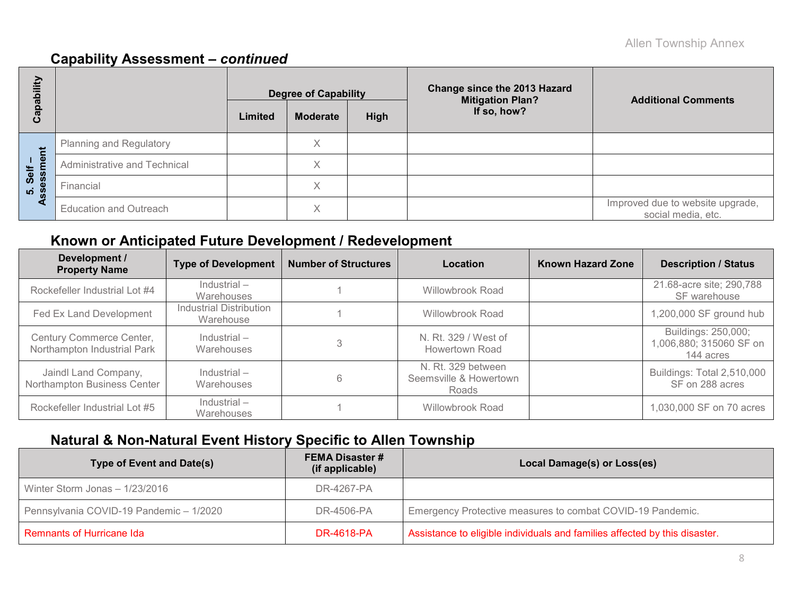### **Capability Assessment –** *continued*

| 高           |                               |                                                   | <b>Degree of Capability</b> |  | <b>Change since the 2013 Hazard</b><br><b>Mitigation Plan?</b> | <b>Additional Comments</b>                             |  |  |
|-------------|-------------------------------|---------------------------------------------------|-----------------------------|--|----------------------------------------------------------------|--------------------------------------------------------|--|--|
| Q<br>ω<br>ပ |                               | If so, how?<br>High<br><b>Moderate</b><br>Limited |                             |  |                                                                |                                                        |  |  |
| Ë           | Planning and Regulatory       |                                                   | ⋏                           |  |                                                                |                                                        |  |  |
| ு<br>Self   | Administrative and Technical  |                                                   | X                           |  |                                                                |                                                        |  |  |
| ທ່          | Financial                     |                                                   |                             |  |                                                                |                                                        |  |  |
| ₫           | <b>Education and Outreach</b> |                                                   | ∧                           |  |                                                                | Improved due to website upgrade,<br>social media, etc. |  |  |

## **Known or Anticipated Future Development / Redevelopment**

| Development /<br><b>Property Name</b>                   | <b>Type of Development</b>           | <b>Number of Structures</b> | Location                                              | <b>Known Hazard Zone</b> | <b>Description / Status</b>                                 |
|---------------------------------------------------------|--------------------------------------|-----------------------------|-------------------------------------------------------|--------------------------|-------------------------------------------------------------|
| Rockefeller Industrial Lot #4                           | $Industrial -$<br>Warehouses         |                             | <b>Willowbrook Road</b>                               |                          | 21.68-acre site; 290,788<br>SF warehouse                    |
| Fed Ex Land Development                                 | Industrial Distribution<br>Warehouse |                             | Willowbrook Road                                      |                          | 1,200,000 SF ground hub                                     |
| Century Commerce Center,<br>Northampton Industrial Park | $Industrial -$<br>Warehouses         |                             | N. Rt. 329 / West of<br><b>Howertown Road</b>         |                          | Buildings: 250,000;<br>1,006,880; 315060 SF on<br>144 acres |
| Jaindl Land Company,<br>Northampton Business Center     | Industrial-<br>Warehouses            | 6                           | N. Rt. 329 between<br>Seemsville & Howertown<br>Roads |                          | Buildings: Total 2,510,000<br>SF on 288 acres               |
| Rockefeller Industrial Lot #5                           | $Industrial -$<br>Warehouses         |                             | <b>Willowbrook Road</b>                               |                          | 1,030,000 SF on 70 acres                                    |

## **Natural & Non-Natural Event History Specific to Allen Township**

| <b>Type of Event and Date(s)</b>        | <b>FEMA Disaster #</b><br>(if applicable) | Local Damage(s) or Loss(es)                                                |
|-----------------------------------------|-------------------------------------------|----------------------------------------------------------------------------|
| Winter Storm Jonas $-1/23/2016$         | DR-4267-PA                                |                                                                            |
| Pennsylvania COVID-19 Pandemic - 1/2020 | DR-4506-PA                                | Emergency Protective measures to combat COVID-19 Pandemic.                 |
| <b>Remnants of Hurricane Ida</b>        | <b>DR-4618-PA</b>                         | Assistance to eligible individuals and families affected by this disaster. |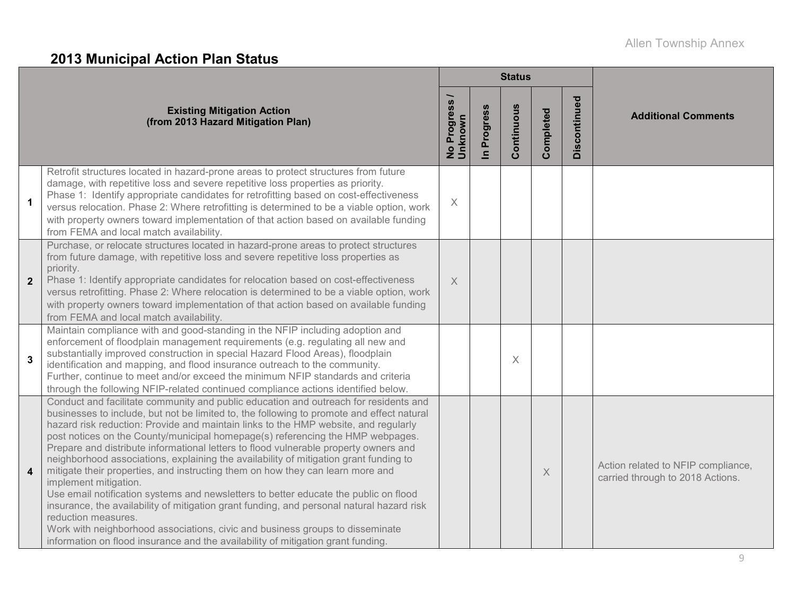# **2013 Municipal Action Plan Status**

|                  |                                                                                                                                                                                                                                                                                                                                                                                                                                                                                                                                                                                                                                                                                                                                                                                                                                                                                                                                                                                                                                         |                                      |                          | <b>Status</b> |           |              |                                                                        |
|------------------|-----------------------------------------------------------------------------------------------------------------------------------------------------------------------------------------------------------------------------------------------------------------------------------------------------------------------------------------------------------------------------------------------------------------------------------------------------------------------------------------------------------------------------------------------------------------------------------------------------------------------------------------------------------------------------------------------------------------------------------------------------------------------------------------------------------------------------------------------------------------------------------------------------------------------------------------------------------------------------------------------------------------------------------------|--------------------------------------|--------------------------|---------------|-----------|--------------|------------------------------------------------------------------------|
|                  | <b>Existing Mitigation Action</b><br>(from 2013 Hazard Mitigation Plan)                                                                                                                                                                                                                                                                                                                                                                                                                                                                                                                                                                                                                                                                                                                                                                                                                                                                                                                                                                 | Progress<br>Unknown<br>$\frac{1}{2}$ | Progress<br>$\mathbf{r}$ | Continuous    | Completed | Discontinued | <b>Additional Comments</b>                                             |
| $\mathbf{1}$     | Retrofit structures located in hazard-prone areas to protect structures from future<br>damage, with repetitive loss and severe repetitive loss properties as priority.<br>Phase 1: Identify appropriate candidates for retrofitting based on cost-effectiveness<br>versus relocation. Phase 2: Where retrofitting is determined to be a viable option, work<br>with property owners toward implementation of that action based on available funding<br>from FEMA and local match availability.                                                                                                                                                                                                                                                                                                                                                                                                                                                                                                                                          | $\times$                             |                          |               |           |              |                                                                        |
| $\overline{2}$   | Purchase, or relocate structures located in hazard-prone areas to protect structures<br>from future damage, with repetitive loss and severe repetitive loss properties as<br>priority.<br>Phase 1: Identify appropriate candidates for relocation based on cost-effectiveness<br>versus retrofitting. Phase 2: Where relocation is determined to be a viable option, work<br>with property owners toward implementation of that action based on available funding<br>from FEMA and local match availability.                                                                                                                                                                                                                                                                                                                                                                                                                                                                                                                            | X                                    |                          |               |           |              |                                                                        |
| $\mathbf{3}$     | Maintain compliance with and good-standing in the NFIP including adoption and<br>enforcement of floodplain management requirements (e.g. regulating all new and<br>substantially improved construction in special Hazard Flood Areas), floodplain<br>identification and mapping, and flood insurance outreach to the community.<br>Further, continue to meet and/or exceed the minimum NFIP standards and criteria<br>through the following NFIP-related continued compliance actions identified below.                                                                                                                                                                                                                                                                                                                                                                                                                                                                                                                                 |                                      |                          | $\times$      |           |              |                                                                        |
| $\boldsymbol{4}$ | Conduct and facilitate community and public education and outreach for residents and<br>businesses to include, but not be limited to, the following to promote and effect natural<br>hazard risk reduction: Provide and maintain links to the HMP website, and regularly<br>post notices on the County/municipal homepage(s) referencing the HMP webpages.<br>Prepare and distribute informational letters to flood vulnerable property owners and<br>neighborhood associations, explaining the availability of mitigation grant funding to<br>mitigate their properties, and instructing them on how they can learn more and<br>implement mitigation.<br>Use email notification systems and newsletters to better educate the public on flood<br>insurance, the availability of mitigation grant funding, and personal natural hazard risk<br>reduction measures.<br>Work with neighborhood associations, civic and business groups to disseminate<br>information on flood insurance and the availability of mitigation grant funding. |                                      |                          |               | $\times$  |              | Action related to NFIP compliance,<br>carried through to 2018 Actions. |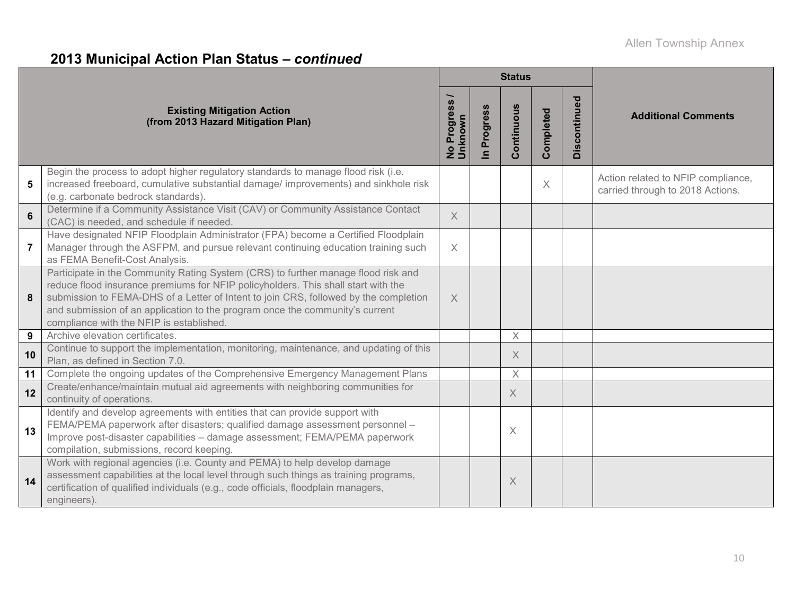# **2013 Municipal Action Plan Status –** *continued*

|                |                                                                                                                                                                                                                                                                                                                                                                                            |                                      |                          | <b>Status</b> |           |                 |                                                                        |
|----------------|--------------------------------------------------------------------------------------------------------------------------------------------------------------------------------------------------------------------------------------------------------------------------------------------------------------------------------------------------------------------------------------------|--------------------------------------|--------------------------|---------------|-----------|-----------------|------------------------------------------------------------------------|
|                | <b>Existing Mitigation Action</b><br>(from 2013 Hazard Mitigation Plan)                                                                                                                                                                                                                                                                                                                    | Progress<br>Unknown<br>$\frac{1}{2}$ | Progress<br>$\mathbf{a}$ | Continuous    | Completed | ಠ<br>Discontinu | <b>Additional Comments</b>                                             |
| 5              | Begin the process to adopt higher regulatory standards to manage flood risk (i.e.<br>increased freeboard, cumulative substantial damage/ improvements) and sinkhole risk<br>(e.g. carbonate bedrock standards).                                                                                                                                                                            |                                      |                          |               | $\times$  |                 | Action related to NFIP compliance,<br>carried through to 2018 Actions. |
| 6              | Determine if a Community Assistance Visit (CAV) or Community Assistance Contact<br>(CAC) is needed, and schedule if needed.                                                                                                                                                                                                                                                                | $\times$                             |                          |               |           |                 |                                                                        |
| $\overline{7}$ | Have designated NFIP Floodplain Administrator (FPA) become a Certified Floodplain<br>Manager through the ASFPM, and pursue relevant continuing education training such<br>as FEMA Benefit-Cost Analysis.                                                                                                                                                                                   | $\times$                             |                          |               |           |                 |                                                                        |
| 8              | Participate in the Community Rating System (CRS) to further manage flood risk and<br>reduce flood insurance premiums for NFIP policyholders. This shall start with the<br>submission to FEMA-DHS of a Letter of Intent to join CRS, followed by the completion<br>and submission of an application to the program once the community's current<br>compliance with the NFIP is established. | $\times$                             |                          |               |           |                 |                                                                        |
| 9              | Archive elevation certificates.                                                                                                                                                                                                                                                                                                                                                            |                                      |                          | $\times$      |           |                 |                                                                        |
| 10             | Continue to support the implementation, monitoring, maintenance, and updating of this<br>Plan, as defined in Section 7.0.                                                                                                                                                                                                                                                                  |                                      |                          | X             |           |                 |                                                                        |
| 11             | Complete the ongoing updates of the Comprehensive Emergency Management Plans                                                                                                                                                                                                                                                                                                               |                                      |                          | $\mathsf X$   |           |                 |                                                                        |
| 12             | Create/enhance/maintain mutual aid agreements with neighboring communities for<br>continuity of operations.                                                                                                                                                                                                                                                                                |                                      |                          | X             |           |                 |                                                                        |
| 13             | Identify and develop agreements with entities that can provide support with<br>FEMA/PEMA paperwork after disasters; qualified damage assessment personnel -<br>Improve post-disaster capabilities - damage assessment; FEMA/PEMA paperwork<br>compilation, submissions, record keeping.                                                                                                    |                                      |                          | $\times$      |           |                 |                                                                        |
| 14             | Work with regional agencies (i.e. County and PEMA) to help develop damage<br>assessment capabilities at the local level through such things as training programs,<br>certification of qualified individuals (e.g., code officials, floodplain managers,<br>engineers).                                                                                                                     |                                      |                          | X             |           |                 |                                                                        |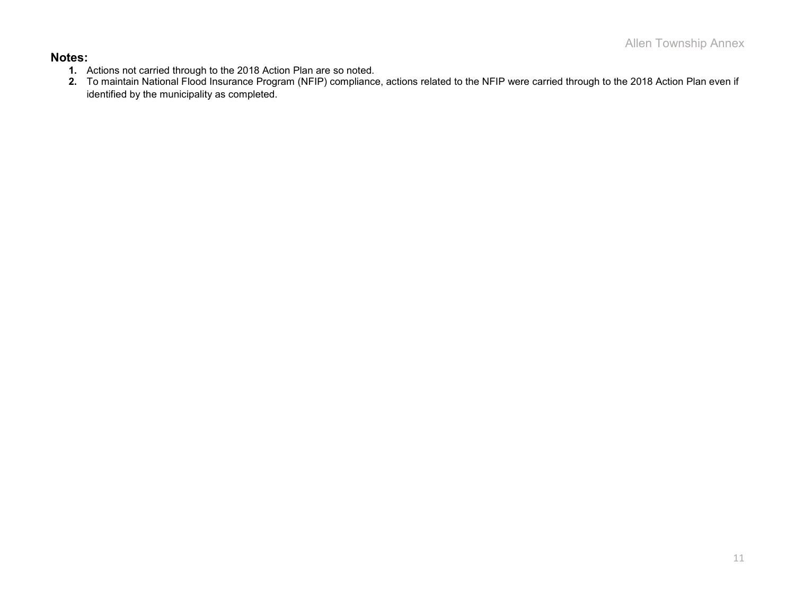#### **Notes:**

- **1.** Actions not carried through to the 2018 Action Plan are so noted.
- **2.** To maintain National Flood Insurance Program (NFIP) compliance, actions related to the NFIP were carried through to the 2018 Action Plan even if identified by the municipality as completed.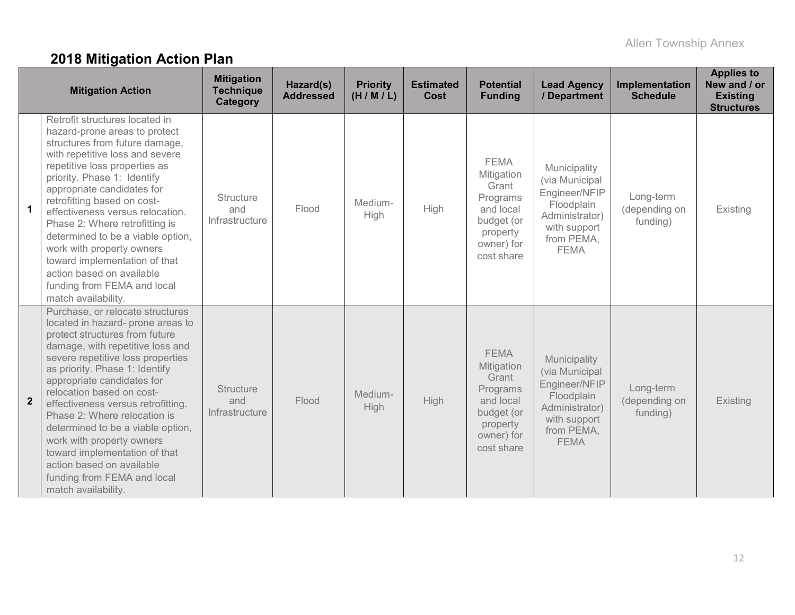# **2018 Mitigation Action Plan**

|                         | <b>Mitigation Action</b>                                                                                                                                                                                                                                                                                                                                                                                                                                                                                                                  | <b>Mitigation</b><br><b>Technique</b><br><b>Category</b> | Hazard(s)<br><b>Addressed</b> | <b>Priority</b><br>(H/M/L) | <b>Estimated</b><br><b>Cost</b> | <b>Potential</b><br><b>Funding</b>                                                                                | <b>Lead Agency</b><br>/ Department                                                                                           | Implementation<br><b>Schedule</b>      | <b>Applies to</b><br>New and / or<br><b>Existing</b><br><b>Structures</b> |
|-------------------------|-------------------------------------------------------------------------------------------------------------------------------------------------------------------------------------------------------------------------------------------------------------------------------------------------------------------------------------------------------------------------------------------------------------------------------------------------------------------------------------------------------------------------------------------|----------------------------------------------------------|-------------------------------|----------------------------|---------------------------------|-------------------------------------------------------------------------------------------------------------------|------------------------------------------------------------------------------------------------------------------------------|----------------------------------------|---------------------------------------------------------------------------|
| $\overline{\mathbf{1}}$ | Retrofit structures located in<br>hazard-prone areas to protect<br>structures from future damage,<br>with repetitive loss and severe<br>repetitive loss properties as<br>priority. Phase 1: Identify<br>appropriate candidates for<br>retrofitting based on cost-<br>effectiveness versus relocation.<br>Phase 2: Where retrofitting is<br>determined to be a viable option,<br>work with property owners<br>toward implementation of that<br>action based on available<br>funding from FEMA and local<br>match availability.             | <b>Structure</b><br>and<br>Infrastructure                | Flood                         | Medium-<br><b>High</b>     | High                            | <b>FEMA</b><br>Mitigation<br>Grant<br>Programs<br>and local<br>budget (or<br>property<br>owner) for<br>cost share | Municipality<br>(via Municipal<br>Engineer/NFIP<br>Floodplain<br>Administrator)<br>with support<br>from PEMA,<br><b>FEMA</b> | Long-term<br>(depending on<br>funding) | Existing                                                                  |
| $\overline{2}$          | Purchase, or relocate structures<br>located in hazard- prone areas to<br>protect structures from future<br>damage, with repetitive loss and<br>severe repetitive loss properties<br>as priority. Phase 1: Identify<br>appropriate candidates for<br>relocation based on cost-<br>effectiveness versus retrofitting.<br>Phase 2: Where relocation is<br>determined to be a viable option,<br>work with property owners<br>toward implementation of that<br>action based on available<br>funding from FEMA and local<br>match availability. | <b>Structure</b><br>and<br>Infrastructure                | Flood                         | Medium-<br>High            | <b>High</b>                     | <b>FEMA</b><br>Mitigation<br>Grant<br>Programs<br>and local<br>budget (or<br>property<br>owner) for<br>cost share | Municipality<br>(via Municipal<br>Engineer/NFIP<br>Floodplain<br>Administrator)<br>with support<br>from PEMA,<br><b>FEMA</b> | Long-term<br>(depending on<br>funding) | Existing                                                                  |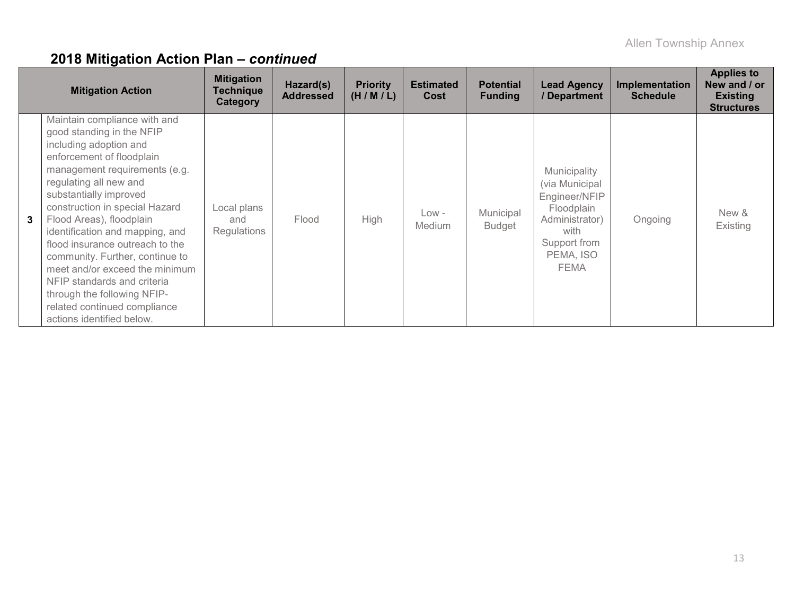|   | <b>Mitigation Action</b>                                                                                                                                                                                                                                                                                                                                                                                                                                                                                                                  | <b>Mitigation</b><br><b>Technique</b><br>Category | Hazard(s)<br><b>Addressed</b> | <b>Priority</b><br>(H/M/L) | <b>Estimated</b><br>Cost | <b>Potential</b><br><b>Funding</b> | <b>Lead Agency</b><br>/ Department                                                                                           | Implementation<br><b>Schedule</b> | <b>Applies to</b><br>New and / or<br><b>Existing</b><br><b>Structures</b> |
|---|-------------------------------------------------------------------------------------------------------------------------------------------------------------------------------------------------------------------------------------------------------------------------------------------------------------------------------------------------------------------------------------------------------------------------------------------------------------------------------------------------------------------------------------------|---------------------------------------------------|-------------------------------|----------------------------|--------------------------|------------------------------------|------------------------------------------------------------------------------------------------------------------------------|-----------------------------------|---------------------------------------------------------------------------|
| 3 | Maintain compliance with and<br>good standing in the NFIP<br>including adoption and<br>enforcement of floodplain<br>management requirements (e.g.<br>regulating all new and<br>substantially improved<br>construction in special Hazard<br>Flood Areas), floodplain<br>identification and mapping, and<br>flood insurance outreach to the<br>community. Further, continue to<br>meet and/or exceed the minimum<br>NFIP standards and criteria<br>through the following NFIP-<br>related continued compliance<br>actions identified below. | Local plans<br>and<br>Regulations                 | Flood                         | High                       | Low -<br><b>Medium</b>   | Municipal<br><b>Budget</b>         | Municipality<br>(via Municipal<br>Engineer/NFIP<br>Floodplain<br>Administrator)<br>with<br>Support from<br>PEMA, ISO<br>FEMA | Ongoing                           | New &<br>Existing                                                         |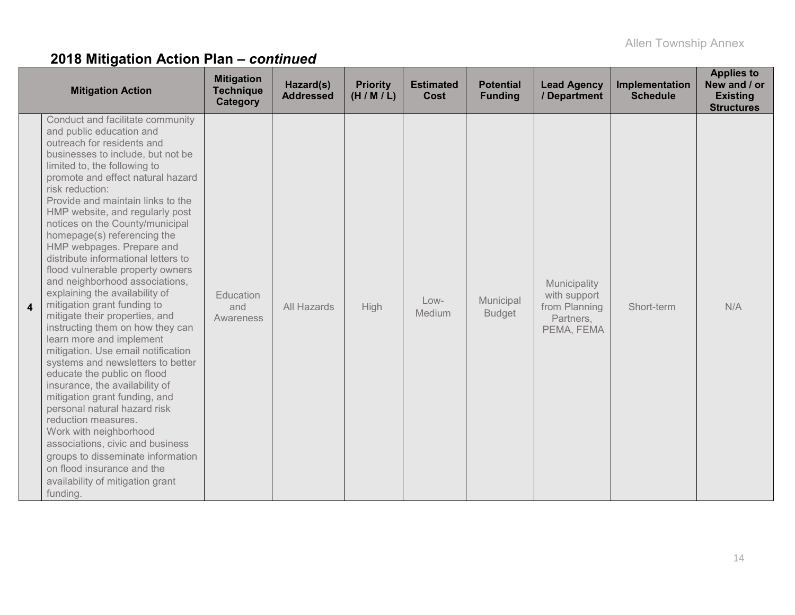|   | <b>Mitigation Action</b>                                                                                                                                                                                                                                                                                                                                                                                                                                                                                                                                                                                                                                                                                                                                                                                                                                                                                                                                                                                                                                                                            | <b>Mitigation</b><br><b>Technique</b><br>Category | Hazard(s)<br><b>Addressed</b> | <b>Priority</b><br>(H/M/L) | <b>Estimated</b><br>Cost | <b>Potential</b><br><b>Funding</b> | <b>Lead Agency</b><br>/ Department                                       | Implementation<br><b>Schedule</b> | <b>Applies to</b><br>New and / or<br><b>Existing</b><br><b>Structures</b> |
|---|-----------------------------------------------------------------------------------------------------------------------------------------------------------------------------------------------------------------------------------------------------------------------------------------------------------------------------------------------------------------------------------------------------------------------------------------------------------------------------------------------------------------------------------------------------------------------------------------------------------------------------------------------------------------------------------------------------------------------------------------------------------------------------------------------------------------------------------------------------------------------------------------------------------------------------------------------------------------------------------------------------------------------------------------------------------------------------------------------------|---------------------------------------------------|-------------------------------|----------------------------|--------------------------|------------------------------------|--------------------------------------------------------------------------|-----------------------------------|---------------------------------------------------------------------------|
| 4 | Conduct and facilitate community<br>and public education and<br>outreach for residents and<br>businesses to include, but not be<br>limited to, the following to<br>promote and effect natural hazard<br>risk reduction:<br>Provide and maintain links to the<br>HMP website, and regularly post<br>notices on the County/municipal<br>homepage(s) referencing the<br>HMP webpages. Prepare and<br>distribute informational letters to<br>flood vulnerable property owners<br>and neighborhood associations,<br>explaining the availability of<br>mitigation grant funding to<br>mitigate their properties, and<br>instructing them on how they can<br>learn more and implement<br>mitigation. Use email notification<br>systems and newsletters to better<br>educate the public on flood<br>insurance, the availability of<br>mitigation grant funding, and<br>personal natural hazard risk<br>reduction measures.<br>Work with neighborhood<br>associations, civic and business<br>groups to disseminate information<br>on flood insurance and the<br>availability of mitigation grant<br>funding. | Education<br>and<br>Awareness                     | All Hazards                   | High                       | Low-<br>Medium           | Municipal<br><b>Budget</b>         | Municipality<br>with support<br>from Planning<br>Partners,<br>PEMA, FEMA | Short-term                        | N/A                                                                       |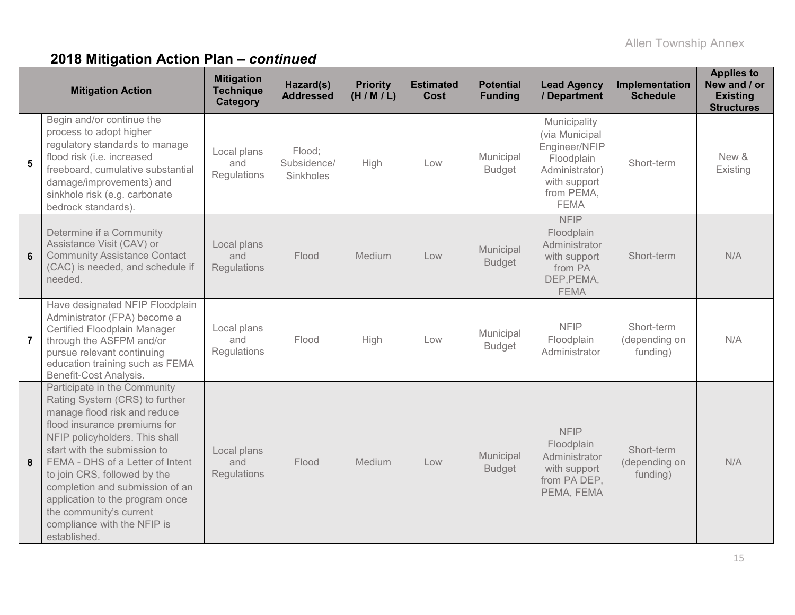|                | <b>Mitigation Action</b>                                                                                                                                                                                                                                                                                                                                                                                             | <b>Mitigation</b><br><b>Technique</b><br>Category | Hazard(s)<br><b>Addressed</b>             | <b>Priority</b><br>(H/M/L) | <b>Estimated</b><br><b>Cost</b> | <b>Potential</b><br><b>Funding</b> | <b>Lead Agency</b><br>/ Department                                                                                           | Implementation<br><b>Schedule</b>       | <b>Applies to</b><br>New and / or<br><b>Existing</b><br><b>Structures</b> |
|----------------|----------------------------------------------------------------------------------------------------------------------------------------------------------------------------------------------------------------------------------------------------------------------------------------------------------------------------------------------------------------------------------------------------------------------|---------------------------------------------------|-------------------------------------------|----------------------------|---------------------------------|------------------------------------|------------------------------------------------------------------------------------------------------------------------------|-----------------------------------------|---------------------------------------------------------------------------|
| 5              | Begin and/or continue the<br>process to adopt higher<br>regulatory standards to manage<br>flood risk (i.e. increased<br>freeboard, cumulative substantial<br>damage/improvements) and<br>sinkhole risk (e.g. carbonate<br>bedrock standards).                                                                                                                                                                        | Local plans<br>and<br>Regulations                 | Flood;<br>Subsidence/<br><b>Sinkholes</b> | High                       | Low                             | Municipal<br><b>Budget</b>         | Municipality<br>(via Municipal<br>Engineer/NFIP<br>Floodplain<br>Administrator)<br>with support<br>from PEMA,<br><b>FEMA</b> | Short-term                              | New &<br>Existing                                                         |
| $6\phantom{a}$ | Determine if a Community<br>Assistance Visit (CAV) or<br><b>Community Assistance Contact</b><br>(CAC) is needed, and schedule if<br>needed.                                                                                                                                                                                                                                                                          | Local plans<br>and<br>Regulations                 | Flood                                     | Medium                     | Low                             | Municipal<br><b>Budget</b>         | <b>NFIP</b><br>Floodplain<br>Administrator<br>with support<br>from PA<br>DEP, PEMA,<br><b>FEMA</b>                           | Short-term                              | N/A                                                                       |
| $\overline{7}$ | Have designated NFIP Floodplain<br>Administrator (FPA) become a<br>Certified Floodplain Manager<br>through the ASFPM and/or<br>pursue relevant continuing<br>education training such as FEMA<br>Benefit-Cost Analysis.                                                                                                                                                                                               | Local plans<br>and<br>Regulations                 | Flood                                     | High                       | Low                             | Municipal<br><b>Budget</b>         | <b>NFIP</b><br>Floodplain<br>Administrator                                                                                   | Short-term<br>(depending on<br>funding) | N/A                                                                       |
| 8              | Participate in the Community<br>Rating System (CRS) to further<br>manage flood risk and reduce<br>flood insurance premiums for<br>NFIP policyholders. This shall<br>start with the submission to<br>FEMA - DHS of a Letter of Intent<br>to join CRS, followed by the<br>completion and submission of an<br>application to the program once<br>the community's current<br>compliance with the NFIP is<br>established. | Local plans<br>and<br>Regulations                 | Flood                                     | Medium                     | Low                             | Municipal<br><b>Budget</b>         | <b>NFIP</b><br>Floodplain<br>Administrator<br>with support<br>from PA DEP,<br>PEMA, FEMA                                     | Short-term<br>(depending on<br>funding) | N/A                                                                       |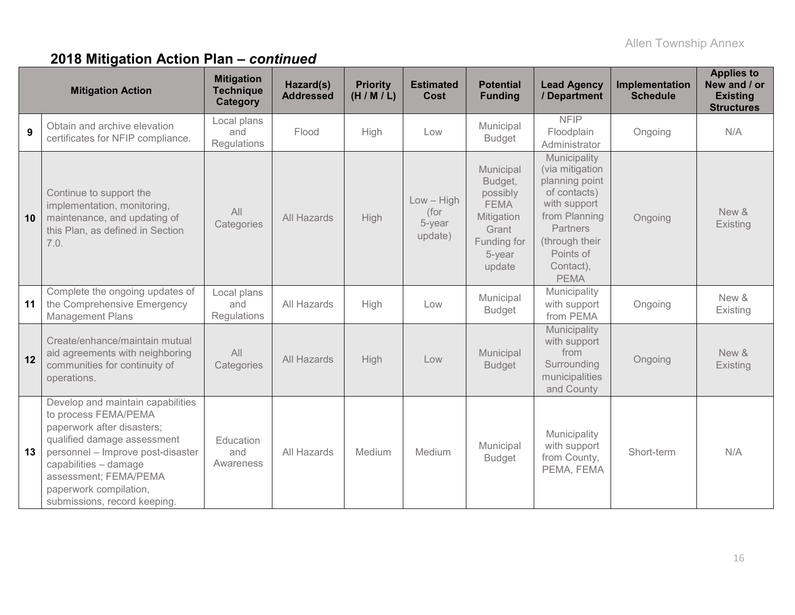|    | <b>Mitigation Action</b>                                                                                                                                                                                                                                                | <b>Mitigation</b><br><b>Technique</b><br>Category | Hazard(s)<br><b>Addressed</b> | <b>Priority</b><br>(H/M/L) | <b>Estimated</b><br>Cost                  | <b>Potential</b><br><b>Funding</b>                                                                        | <b>Lead Agency</b><br>/ Department                                                                                                                                               | Implementation<br><b>Schedule</b> | <b>Applies to</b><br>New and / or<br><b>Existing</b><br><b>Structures</b> |
|----|-------------------------------------------------------------------------------------------------------------------------------------------------------------------------------------------------------------------------------------------------------------------------|---------------------------------------------------|-------------------------------|----------------------------|-------------------------------------------|-----------------------------------------------------------------------------------------------------------|----------------------------------------------------------------------------------------------------------------------------------------------------------------------------------|-----------------------------------|---------------------------------------------------------------------------|
| 9  | Obtain and archive elevation<br>certificates for NFIP compliance.                                                                                                                                                                                                       | Local plans<br>and<br>Regulations                 | Flood                         | <b>High</b>                | Low                                       | Municipal<br><b>Budget</b>                                                                                | <b>NFIP</b><br>Floodplain<br>Administrator                                                                                                                                       | Ongoing                           | N/A                                                                       |
| 10 | Continue to support the<br>implementation, monitoring,<br>maintenance, and updating of<br>this Plan, as defined in Section<br>7.0.                                                                                                                                      | All<br>Categories                                 | All Hazards                   | High                       | $Low - High$<br>(for<br>5-year<br>update) | Municipal<br>Budget,<br>possibly<br><b>FEMA</b><br>Mitigation<br>Grant<br>Funding for<br>5-year<br>update | Municipality<br>(via mitigation<br>planning point<br>of contacts)<br>with support<br>from Planning<br><b>Partners</b><br>(through their<br>Points of<br>Contact),<br><b>PEMA</b> | Ongoing                           | New &<br>Existing                                                         |
| 11 | Complete the ongoing updates of<br>the Comprehensive Emergency<br>Management Plans                                                                                                                                                                                      | Local plans<br>and<br><b>Regulations</b>          | All Hazards                   | High                       | Low                                       | Municipal<br><b>Budget</b>                                                                                | Municipality<br>with support<br>from PEMA                                                                                                                                        | Ongoing                           | New &<br>Existing                                                         |
| 12 | Create/enhance/maintain mutual<br>aid agreements with neighboring<br>communities for continuity of<br>operations.                                                                                                                                                       | All<br>Categories                                 | All Hazards                   | High                       | Low                                       | Municipal<br><b>Budget</b>                                                                                | Municipality<br>with support<br>from<br>Surrounding<br>municipalities<br>and County                                                                                              | Ongoing                           | New &<br>Existing                                                         |
| 13 | Develop and maintain capabilities<br>to process FEMA/PEMA<br>paperwork after disasters;<br>qualified damage assessment<br>personnel - Improve post-disaster<br>capabilities - damage<br>assessment; FEMA/PEMA<br>paperwork compilation,<br>submissions, record keeping. | Education<br>and<br>Awareness                     | All Hazards                   | Medium                     | Medium                                    | Municipal<br><b>Budget</b>                                                                                | Municipality<br>with support<br>from County,<br>PEMA, FEMA                                                                                                                       | Short-term                        | N/A                                                                       |